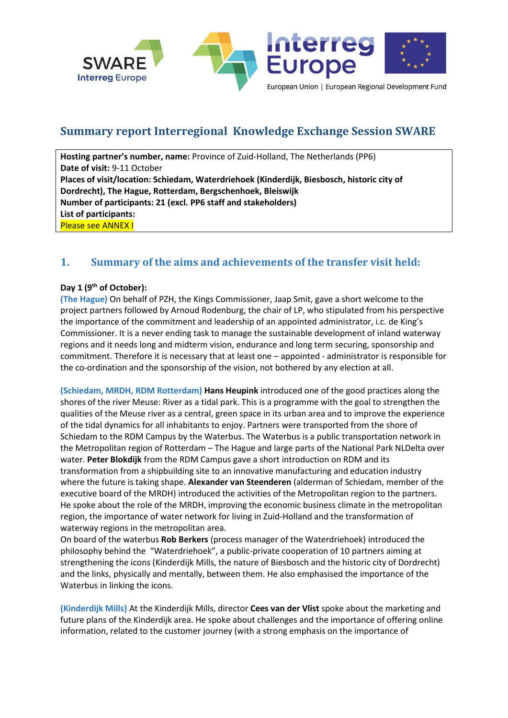

# **Summary report Interregional Knowledge Exchange Session SWARE**

**Hosting partner's number, name:** Province of Zuid-Holland, The Netherlands (PP6) **Date of visit:** 9-11 October **Places of visit/location: Schiedam, Waterdriehoek (Kinderdijk, Biesbosch, historic city of Dordrecht), The Hague, Rotterdam, Bergschenhoek, Bleiswijk Number of participants: 21 (excl. PP6 staff and stakeholders) List of participants:**  Please see ANNEX I

### **1. Summary of the aims and achievements of the transfer visit held:**

#### **Day 1 (9th of October):**

**(The Hague)** On behalf of PZH, the Kings Commissioner, Jaap Smit, gave a short welcome to the project partners followed by Arnoud Rodenburg, the chair of LP, who stipulated from his perspective the importance of the commitment and leadership of an appointed administrator, i.c. de King's Commissioner. It is a never ending task to manage the sustainable development of inland waterway regions and it needs long and midterm vision, endurance and long term securing, sponsorship and commitment. Therefore it is necessary that at least one – appointed - administrator is responsible for the co-ordination and the sponsorship of the vision, not bothered by any election at all.

**(Schiedam, MRDH, RDM Rotterdam) Hans Heupink** introduced one of the good practices along the shores of the river Meuse: River as a tidal park. This is a programme with the goal to strengthen the qualities of the Meuse river as a central, green space in its urban area and to improve the experience of the tidal dynamics for all inhabitants to enjoy. Partners were transported from the shore of Schiedam to the RDM Campus by the Waterbus. The Waterbus is a public transportation network in the Metropolitan region of Rotterdam – The Hague and large parts of the National Park NLDelta over water. **Peter Blokdijk** from the RDM Campus gave a short introduction on RDM and its transformation from a shipbuilding site to an innovative manufacturing and education industry where the future is taking shape. **Alexander van Steenderen** (alderman of Schiedam, member of the executive board of the MRDH) introduced the activities of the Metropolitan region to the partners. He spoke about the role of the MRDH, improving the economic business climate in the metropolitan region, the importance of water network for living in Zuid-Holland and the transformation of waterway regions in the metropolitan area.

On board of the waterbus **Rob Berkers** (process manager of the Waterdriehoek) introduced the philosophy behind the "Waterdriehoek", a public-private cooperation of 10 partners aiming at strengthening the icons (Kinderdijk Mills, the nature of Biesbosch and the historic city of Dordrecht) and the links, physically and mentally, between them. He also emphasised the importance of the Waterbus in linking the icons.

**(Kinderdijk Mills)** At the Kinderdijk Mills, director **Cees van der Vlist** spoke about the marketing and future plans of the Kinderdijk area. He spoke about challenges and the importance of offering online information, related to the customer journey (with a strong emphasis on the importance of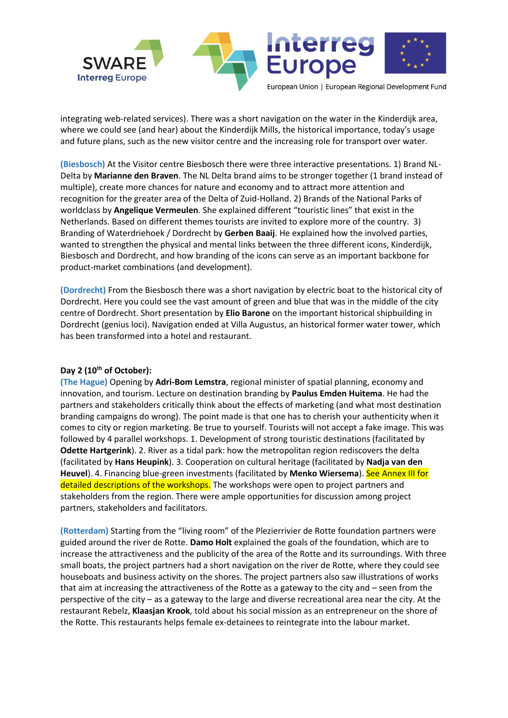

integrating web-related services). There was a short navigation on the water in the Kinderdijk area, where we could see (and hear) about the Kinderdijk Mills, the historical importance, today's usage and future plans, such as the new visitor centre and the increasing role for transport over water.

**(Biesbosch)** At the Visitor centre Biesbosch there were three interactive presentations. 1) Brand NL-Delta by **Marianne den Braven**. The NL Delta brand aims to be stronger together (1 brand instead of multiple), create more chances for nature and economy and to attract more attention and recognition for the greater area of the Delta of Zuid-Holland. 2) Brands of the National Parks of worldclass by **Angelique Vermeulen**. She explained different "touristic lines" that exist in the Netherlands. Based on different themes tourists are invited to explore more of the country. 3) Branding of Waterdriehoek / Dordrecht by **Gerben Baaij**. He explained how the involved parties, wanted to strengthen the physical and mental links between the three different icons, Kinderdijk, Biesbosch and Dordrecht, and how branding of the icons can serve as an important backbone for product-market combinations (and development).

**(Dordrecht)** From the Biesbosch there was a short navigation by electric boat to the historical city of Dordrecht. Here you could see the vast amount of green and blue that was in the middle of the city centre of Dordrecht. Short presentation by **Elio Barone** on the important historical shipbuilding in Dordrecht (genius loci). Navigation ended at Villa Augustus, an historical former water tower, which has been transformed into a hotel and restaurant.

#### **Day 2 (10th of October):**

**(The Hague)** Opening by **Adri-Bom Lemstra**, regional minister of spatial planning, economy and innovation, and tourism. Lecture on destination branding by **Paulus Emden Huitema**. He had the partners and stakeholders critically think about the effects of marketing (and what most destination branding campaigns do wrong). The point made is that one has to cherish your authenticity when it comes to city or region marketing. Be true to yourself. Tourists will not accept a fake image. This was followed by 4 parallel workshops. 1. Development of strong touristic destinations (facilitated by **Odette Hartgerink**). 2. River as a tidal park: how the metropolitan region rediscovers the delta (facilitated by **Hans Heupink**). 3. Cooperation on cultural heritage (facilitated by **Nadja van den Heuvel**). 4. Financing blue-green investments (facilitated by **Menko Wiersema**). See Annex III for detailed descriptions of the workshops. The workshops were open to project partners and stakeholders from the region. There were ample opportunities for discussion among project partners, stakeholders and facilitators.

**(Rotterdam)** Starting from the "living room" of the Plezierrivier de Rotte foundation partners were guided around the river de Rotte. **Damo Holt** explained the goals of the foundation, which are to increase the attractiveness and the publicity of the area of the Rotte and its surroundings. With three small boats, the project partners had a short navigation on the river de Rotte, where they could see houseboats and business activity on the shores. The project partners also saw illustrations of works that aim at increasing the attractiveness of the Rotte as a gateway to the city and – seen from the perspective of the city – as a gateway to the large and diverse recreational area near the city. At the restaurant Rebelz, **Klaasjan Krook**, told about his social mission as an entrepreneur on the shore of the Rotte. This restaurants helps female ex-detainees to reintegrate into the labour market.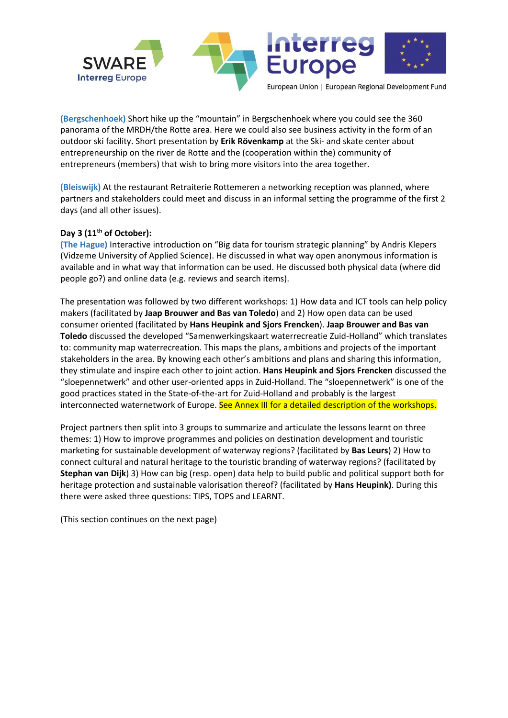

**(Bergschenhoek)** Short hike up the "mountain" in Bergschenhoek where you could see the 360 panorama of the MRDH/the Rotte area. Here we could also see business activity in the form of an outdoor ski facility. Short presentation by **Erik Rövenkamp** at the Ski- and skate center about entrepreneurship on the river de Rotte and the (cooperation within the) community of entrepreneurs (members) that wish to bring more visitors into the area together.

**(Bleiswijk)** At the restaurant Retraiterie Rottemeren a networking reception was planned, where partners and stakeholders could meet and discuss in an informal setting the programme of the first 2 days (and all other issues).

### **Day 3 (11th of October):**

**(The Hague)** Interactive introduction on "Big data for tourism strategic planning" by Andris Klepers (Vidzeme University of Applied Science). He discussed in what way open anonymous information is available and in what way that information can be used. He discussed both physical data (where did people go?) and online data (e.g. reviews and search items).

The presentation was followed by two different workshops: 1) How data and ICT tools can help policy makers (facilitated by **Jaap Brouwer and Bas van Toledo**) and 2) How open data can be used consumer oriented (facilitated by **Hans Heupink and Sjors Frencken**). **Jaap Brouwer and Bas van Toledo** discussed the developed "Samenwerkingskaart waterrecreatie Zuid-Holland" which translates to: community map waterrecreation. This maps the plans, ambitions and projects of the important stakeholders in the area. By knowing each other's ambitions and plans and sharing this information, they stimulate and inspire each other to joint action. **Hans Heupink and Sjors Frencken** discussed the "sloepennetwerk" and other user-oriented apps in Zuid-Holland. The "sloepennetwerk" is one of the good practices stated in the State-of-the-art for Zuid-Holland and probably is the largest interconnected waternetwork of Europe. See Annex III for a detailed description of the workshops.

Project partners then split into 3 groups to summarize and articulate the lessons learnt on three themes: 1) How to improve programmes and policies on destination development and touristic marketing for sustainable development of waterway regions? (facilitated by **Bas Leurs**) 2) How to connect cultural and natural heritage to the touristic branding of waterway regions? (facilitated by **Stephan van Dijk**) 3) How can big (resp. open) data help to build public and political support both for heritage protection and sustainable valorisation thereof? (facilitated by **Hans Heupink)**. During this there were asked three questions: TIPS, TOPS and LEARNT.

(This section continues on the next page)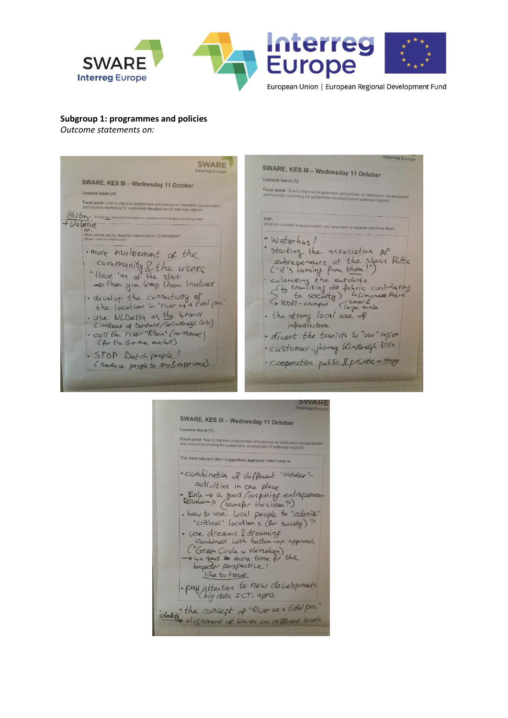

#### **Subgroup 1: programmes and policies**

*Outcome statements on:* 

reg Euron SWARE SWARE, KES III - Wednesday 11 October Lessons learnt (1): SWARE, KES III - Wednesday 11 October Focal point: How to improve programmes and policies on destination de-<br>and touristic marketing for sustainable development of waterway regions? Lessons learnt (1): Focal point: How to improve programmes and policies on destination de<br>and touristic marketing for sustainable development of waterway regions? Boltery = Dec TOP:<br>What do consider a good practice you have seen or experienced these days? +Valerie What advice do you have for stakeholders in Zuid-Holland?<br>What could be improved? · Waterbus! · starting the association of . more intolvement of the starting the association of<br>entrepeneurs at the shore Prother<br>Child's coming from them!")<br>colonizing the outskirts<br>(Lightranting of fabric contributing<br>s to society) belinomed fabric<br>S RDNI-campus (small de shore)  $\frac{3}{10}$  community  $\frac{1}{2}$  the users<br>"Have 'm at the stat = then you keep them involved · develop the connectivity of the location in the brand - the strong local use of (instead of Dordwit/Windows/Letc) · call the river "Rhein" (no meuse) · divert the tourists to "our" region (for the German market) · customer-journey Vinderdyk Vills. · STOP Dutch people! · cooperation public & private = strong (Seduce people to stop & exparience)

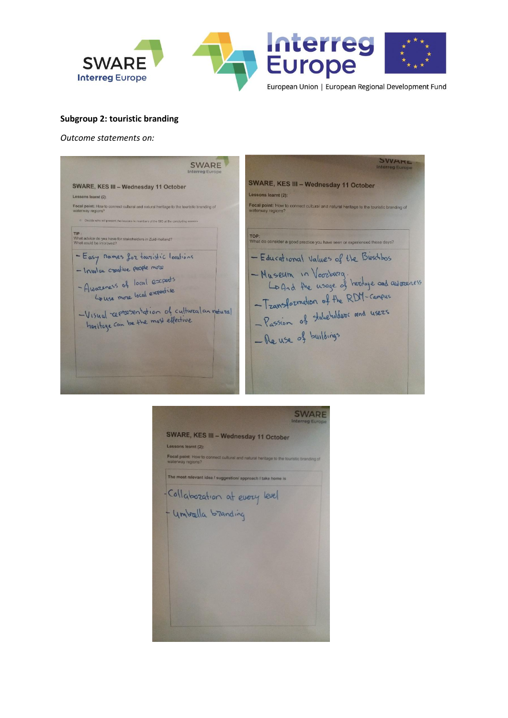

#### **Subgroup 2: touristic branding**

*Outcome statements on:* 

SWARD SWARE **SWARE, KES III - Wednesday 11 October** SWARE, KES III - Wednesday 11 October Lessons learnt (2) Lessons learnt (2): Focal point: How to connect cultural and natural heritage to the touristic branding of waterway regions? Focal point: How to connect cultural and natural heritage to the touristic branding of waterway regions? TIP :<br>What advice do you have for stakeholders in Zuid-Holland?<br>What could be improved? TOP:<br>What do consider a good practice you have seen or experienced these days? - Easy names for towristic locations - Educational Values of the Bieschbos -Museum in Voorburg.<br>Lo And the usage of heritage and awareness - Involve conative people more - Awareness of local experts<br>- Awareness of local expertise -Transformation of the RDM-campus - Passion of takeholders and users - Visual representation of cultural an natural -Visual representation of called<br>heritage can be the most effective - Re use of buildings

| SWARE, KES III - Wednesday 11 October                        |                                                                                                                                               |
|--------------------------------------------------------------|-----------------------------------------------------------------------------------------------------------------------------------------------|
| Lessons learnt (2):                                          |                                                                                                                                               |
| waterway regions?                                            |                                                                                                                                               |
| The most relevant idea / suggestion/ approach I take home is |                                                                                                                                               |
|                                                              |                                                                                                                                               |
|                                                              |                                                                                                                                               |
|                                                              |                                                                                                                                               |
|                                                              |                                                                                                                                               |
|                                                              |                                                                                                                                               |
|                                                              |                                                                                                                                               |
|                                                              |                                                                                                                                               |
|                                                              |                                                                                                                                               |
|                                                              |                                                                                                                                               |
|                                                              | Focal point: How to connect cultural and natural heritage to the touristic branding of<br>-Collabozation at every level<br>- Umbælla bzanding |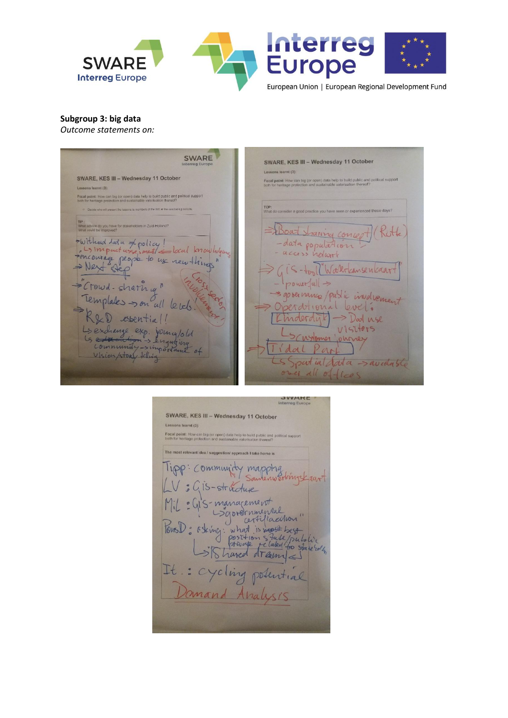

**Subgroup 3: big data** 

*Outcome statements on:* 

**SWARE** SWARE, KES III - Wednesday 11 October Lessons learnt (3): SWARE, KES III - Wednesday 11 October Focal point: How can big (or open) data help to build public and political support Lessons learnt (3): .<br>Focal point: How can big (or open) data help to build public and political support<br>both for heritage protection and sustainable valorisation thereof? who will creased the lessons to mombers of the SIG at the cor or experienced these days? wice do you have for stakeholders in Zuid-Holland<br>uld be improved? Boat sharing concept (Rith Without Nata = policy! -data population -local knowledge Poncourage people to use new things  $iS - \frac{1}{2}$ Watercansencaart  $power|u| \rightarrow$ Crowd-sharing" = governance/public involvement Templates -> on all levels! perdional level. & D essentiall -> Dad use Linderdyk Ls exchange exp. journe/old VISTIONS Customer journey dal Part Sportial data -> aventable over all offices

Interreg Europe SWARE, KES III - Wednesday 11 October Lessons learnt (3): Focal point: How can big (or open) data help to build public and political support<br>both for heritage protection and sustainable valorisation thereof? The most relevant idea / suggestion/ approach I take home is Tipp: Community mapping : 415-structure : GIS-management<br>Sgordrnmental Pons): oding: what is not best which is not best best best directly and the state below the state below of the context of the state below of the context of the state below of the context of the context of the context of th  $\cup$  $\overline{\phantom{a}}$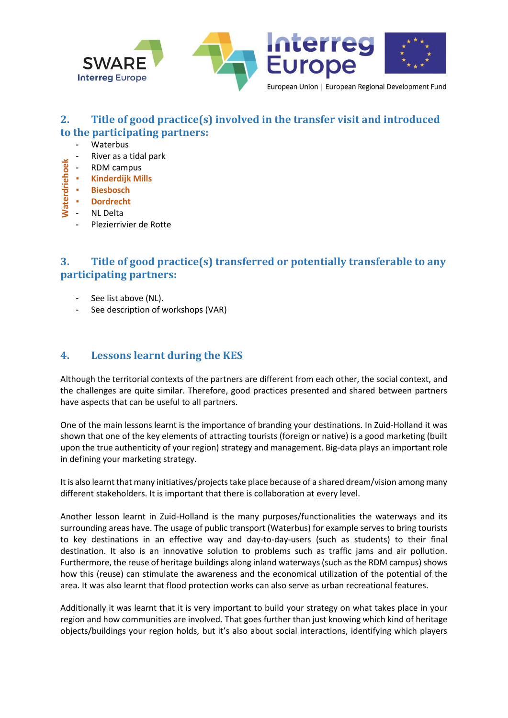

### **2. Title of good practice(s) involved in the transfer visit and introduced to the participating partners:**

- Waterbus
- River as a tidal park
- RDM campus
- **Kinderdijk Mills**
- **Biesbosch**
- **Dordrecht**
- NL Delta
	- Plezierrivier de Rotte

## **3. Title of good practice(s) transferred or potentially transferable to any participating partners:**

- See list above (NL).
- See description of workshops (VAR)

### **4. Lessons learnt during the KES**

Although the territorial contexts of the partners are different from each other, the social context, and the challenges are quite similar. Therefore, good practices presented and shared between partners have aspects that can be useful to all partners.

One of the main lessons learnt is the importance of branding your destinations. In Zuid-Holland it was shown that one of the key elements of attracting tourists (foreign or native) is a good marketing (built upon the true authenticity of your region) strategy and management. Big-data plays an important role in defining your marketing strategy.

It is also learnt that many initiatives/projects take place because of a shared dream/vision among many different stakeholders. It is important that there is collaboration at every level.

Another lesson learnt in Zuid-Holland is the many purposes/functionalities the waterways and its surrounding areas have. The usage of public transport (Waterbus) for example serves to bring tourists to key destinations in an effective way and day-to-day-users (such as students) to their final destination. It also is an innovative solution to problems such as traffic jams and air pollution. Furthermore, the reuse of heritage buildings along inland waterways (such as the RDM campus) shows how this (reuse) can stimulate the awareness and the economical utilization of the potential of the area. It was also learnt that flood protection works can also serve as urban recreational features. **Example 20**<br> **Examples 20**<br> **Examples 20**<br> **Examples 20**<br> **Examples 20**<br> **Examples 20**<br> **Examples 20**<br> **Examples 20**<br> **Examples 20**<br> **Examples 20**<br> **Examples 20**<br> **Examples 20**<br> **Examples 20**<br> **Examples 20**<br> **Examples 20** 

Additionally it was learnt that it is very important to build your strategy on what takes place in your region and how communities are involved. That goes further than just knowing which kind of heritage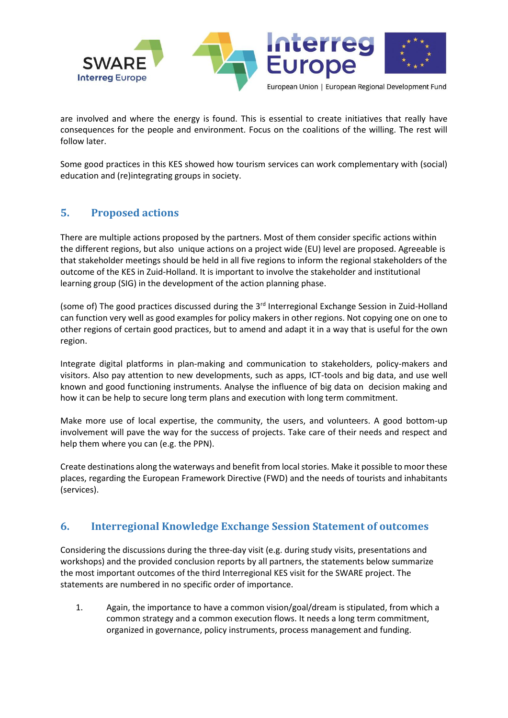

are involved and where the energy is found. This is essential to create initiatives that really have consequences for the people and environment. Focus on the coalitions of the willing. The rest will follow later.

Some good practices in this KES showed how tourism services can work complementary with (social) education and (re)integrating groups in society.

### **5. Proposed actions**

There are multiple actions proposed by the partners. Most of them consider specific actions within the different regions, but also unique actions on a project wide (EU) level are proposed. Agreeable is that stakeholder meetings should be held in all five regions to inform the regional stakeholders of the outcome of the KES in Zuid-Holland. It is important to involve the stakeholder and institutional learning group (SIG) in the development of the action planning phase.

(some of) The good practices discussed during the 3rd Interregional Exchange Session in Zuid-Holland can function very well as good examples for policy makers in other regions. Not copying one on one to other regions of certain good practices, but to amend and adapt it in a way that is useful for the own region.

Integrate digital platforms in plan-making and communication to stakeholders, policy-makers and visitors. Also pay attention to new developments, such as apps, ICT-tools and big data, and use well known and good functioning instruments. Analyse the influence of big data on decision making and how it can be help to secure long term plans and execution with long term commitment.

Make more use of local expertise, the community, the users, and volunteers. A good bottom-up involvement will pave the way for the success of projects. Take care of their needs and respect and help them where you can (e.g. the PPN).

Create destinations along the waterways and benefit from local stories. Make it possible to moor these places, regarding the European Framework Directive (FWD) and the needs of tourists and inhabitants (services).

### **6. Interregional Knowledge Exchange Session Statement of outcomes**

Considering the discussions during the three-day visit (e.g. during study visits, presentations and workshops) and the provided conclusion reports by all partners, the statements below summarize the most important outcomes of the third Interregional KES visit for the SWARE project. The statements are numbered in no specific order of importance.

1. Again, the importance to have a common vision/goal/dream is stipulated, from which a common strategy and a common execution flows. It needs a long term commitment, organized in governance, policy instruments, process management and funding.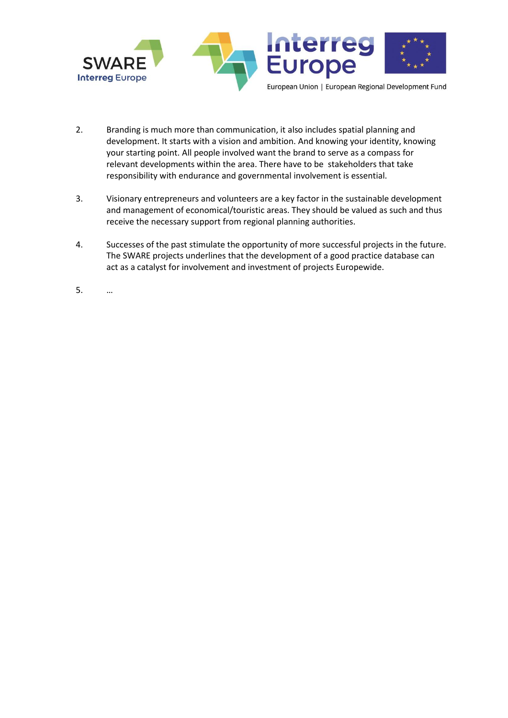

- 2. Branding is much more than communication, it also includes spatial planning and development. It starts with a vision and ambition. And knowing your identity, knowing your starting point. All people involved want the brand to serve as a compass for relevant developments within the area. There have to be stakeholders that take responsibility with endurance and governmental involvement is essential.
- 3. Visionary entrepreneurs and volunteers are a key factor in the sustainable development and management of economical/touristic areas. They should be valued as such and thus receive the necessary support from regional planning authorities.
- 4. Successes of the past stimulate the opportunity of more successful projects in the future. The SWARE projects underlines that the development of a good practice database can act as a catalyst for involvement and investment of projects Europewide.
- 5. …